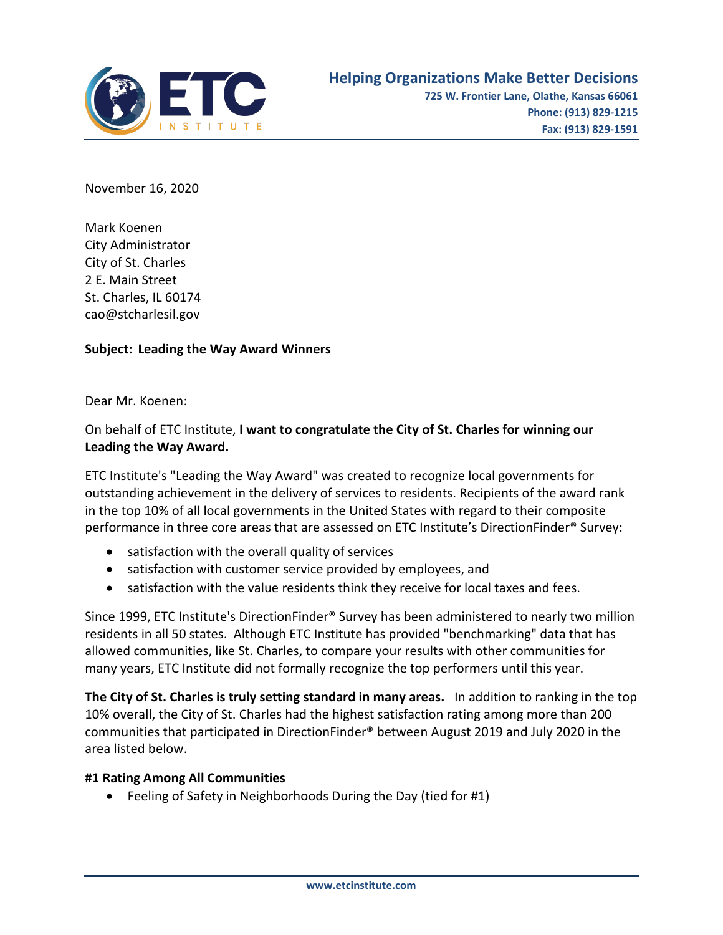

November 16, 2020

Mark Koenen City Administrator City of St. Charles 2 E. Main Street St. Charles, IL 60174 [cao@stcharlesil.gov](mailto:cao@stcharlesil.gov)

## **Subject: Leading the Way Award Winners**

Dear Mr. Koenen:

## On behalf of ETC Institute, **I want to congratulate the City of St. Charles for winning our Leading the Way Award.**

ETC Institute's "Leading the Way Award" was created to recognize local governments for outstanding achievement in the delivery of services to residents. Recipients of the award rank in the top 10% of all local governments in the United States with regard to their composite performance in three core areas that are assessed on ETC Institute's DirectionFinder® Survey:

- satisfaction with the overall quality of services
- satisfaction with customer service provided by employees, and
- satisfaction with the value residents think they receive for local taxes and fees.

Since 1999, ETC Institute's DirectionFinder® Survey has been administered to nearly two million residents in all 50 states. Although ETC Institute has provided "benchmarking" data that has allowed communities, like St. Charles, to compare your results with other communities for many years, ETC Institute did not formally recognize the top performers until this year.

**The City of St. Charles is truly setting standard in many areas.** In addition to ranking in the top 10% overall, the City of St. Charles had the highest satisfaction rating among more than 200 communities that participated in DirectionFinder® between August 2019 and July 2020 in the area listed below.

## **#1 Rating Among All Communities**

• Feeling of Safety in Neighborhoods During the Day (tied for #1)